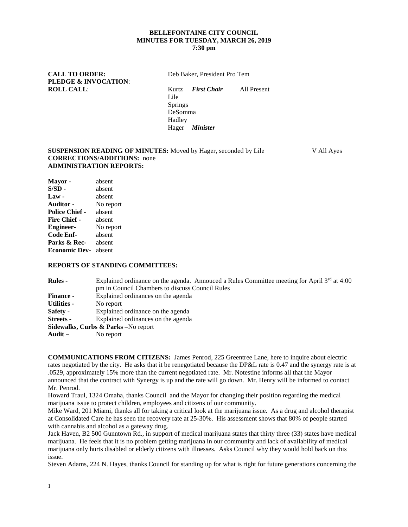### **BELLEFONTAINE CITY COUNCIL MINUTES FOR TUESDAY, MARCH 26, 2019 7:30 pm**

CALL TO ORDER: Deb Baker, President Pro Tem **PLEDGE & INVOCATION**:

**ROLL CALL**: Kurtz *First Chair* All Present Lile Springs DeSomma Hadley Hager *Minister*

**SUSPENSION READING OF MINUTES:** Moved by Hager, seconded by Lile V All Ayes **CORRECTIONS/ADDITIONS:** none **ADMINISTRATION REPORTS:**

**Mayor -** absent **S/SD -** absent **Law -** absent **Auditor -** No report **Police Chief -** absent **Fire Chief -** absent **Engineer-** No report **Code Enf-** absent **Parks & Rec-** absent **Economic Dev-** absent

#### **REPORTS OF STANDING COMMITTEES:**

| <b>Rules</b> -                                             | Explained ordinance on the agenda. Annouced a Rules Committee meeting for April $3rd$ at 4:00<br>pm in Council Chambers to discuss Council Rules |
|------------------------------------------------------------|--------------------------------------------------------------------------------------------------------------------------------------------------|
| <b>Finance -</b>                                           | Explained ordinances on the agenda                                                                                                               |
| <b>Utilities -</b>                                         | No report                                                                                                                                        |
| <b>Safety -</b>                                            | Explained ordinance on the agenda                                                                                                                |
| <b>Streets</b> -                                           | Explained ordinances on the agenda                                                                                                               |
|                                                            | Sidewalks, Curbs & Parks - No report                                                                                                             |
| $\mathbf{A} \mathbf{u} \mathbf{d} \mathbf{i} \mathbf{t}$ – | No report                                                                                                                                        |

**COMMUNICATIONS FROM CITIZENS:** James Penrod, 225 Greentree Lane, here to inquire about electric rates negotiated by the city. He asks that it be renegotiated because the DP&L rate is 0.47 and the synergy rate is at .0529, approximately 15% more than the current negotiated rate. Mr. Notestine informs all that the Mayor announced that the contract with Synergy is up and the rate will go down. Mr. Henry will be informed to contact Mr. Penrod.

Howard Traul, 1324 Omaha, thanks Council and the Mayor for changing their position regarding the medical marijuana issue to protect children, employees and citizens of our community.

Mike Ward, 201 Miami, thanks all for taking a critical look at the marijuana issue. As a drug and alcohol therapist at Consolidated Care he has seen the recovery rate at 25-30%. His assessment shows that 80% of people started with cannabis and alcohol as a gateway drug.

Jack Haven, B2 500 Gunntown Rd., in support of medical marijuana states that thirty three (33) states have medical marijuana. He feels that it is no problem getting marijuana in our community and lack of availability of medical marijuana only hurts disabled or elderly citizens with illnesses. Asks Council why they would hold back on this issue.

Steven Adams, 224 N. Hayes, thanks Council for standing up for what is right for future generations concerning the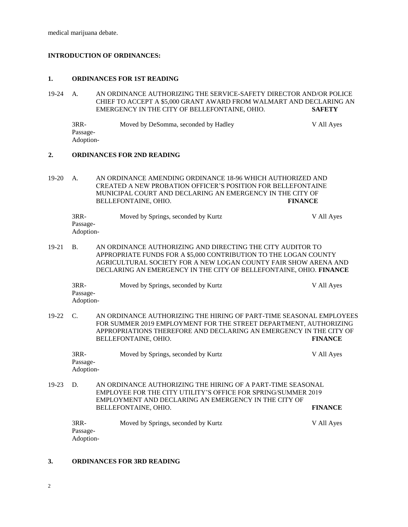medical marijuana debate.

# **INTRODUCTION OF ORDINANCES:**

#### **1. ORDINANCES FOR 1ST READING**

19-24 A. AN ORDINANCE AUTHORIZING THE SERVICE-SAFETY DIRECTOR AND/OR POLICE CHIEF TO ACCEPT A \$5,000 GRANT AWARD FROM WALMART AND DECLARING AN EMERGENCY IN THE CITY OF BELLEFONTAINE, OHIO. **SAFETY**

3RR- Moved by DeSomma, seconded by Hadley V All Ayes Passage-Adoption-

### **2. ORDINANCES FOR 2ND READING**

19-20 A. AN ORDINANCE AMENDING ORDINANCE 18-96 WHICH AUTHORIZED AND CREATED A NEW PROBATION OFFICER'S POSITION FOR BELLEFONTAINE MUNICIPAL COURT AND DECLARING AN EMERGENCY IN THE CITY OF BELLEFONTAINE, OHIO. **FINANCE**

| 3RR-      | Moved by Springs, seconded by Kurtz | V All Ayes |
|-----------|-------------------------------------|------------|
| Passage-  |                                     |            |
| Adoption- |                                     |            |

19-21 B. AN ORDINANCE AUTHORIZING AND DIRECTING THE CITY AUDITOR TO APPROPRIATE FUNDS FOR A \$5,000 CONTRIBUTION TO THE LOGAN COUNTY AGRICULTURAL SOCIETY FOR A NEW LOGAN COUNTY FAIR SHOW ARENA AND DECLARING AN EMERGENCY IN THE CITY OF BELLEFONTAINE, OHIO. **FINANCE**

| $3RR-$    | Moved by Springs, seconded by Kurtz | V All Ayes |
|-----------|-------------------------------------|------------|
| Passage-  |                                     |            |
| Adoption- |                                     |            |

19-22 C. AN ORDINANCE AUTHORIZING THE HIRING OF PART-TIME SEASONAL EMPLOYEES FOR SUMMER 2019 EMPLOYMENT FOR THE STREET DEPARTMENT, AUTHORIZING APPROPRIATIONS THEREFORE AND DECLARING AN EMERGENCY IN THE CITY OF BELLEFONTAINE, OHIO. **FINANCE**

| $3RR-$    | Moved by Springs, seconded by Kurtz | V All Ayes |
|-----------|-------------------------------------|------------|
| Passage-  |                                     |            |
| Adoption- |                                     |            |

19-23 D. AN ORDINANCE AUTHORIZING THE HIRING OF A PART-TIME SEASONAL EMPLOYEE FOR THE CITY UTILITY'S OFFICE FOR SPRING/SUMMER 2019 EMPLOYMENT AND DECLARING AN EMERGENCY IN THE CITY OF BELLEFONTAINE, OHIO. **FINANCE**

| 3RR-      | Moved by Springs, seconded by Kurtz | V All Ayes |
|-----------|-------------------------------------|------------|
| Passage-  |                                     |            |
| Adoption- |                                     |            |

# **3. ORDINANCES FOR 3RD READING**